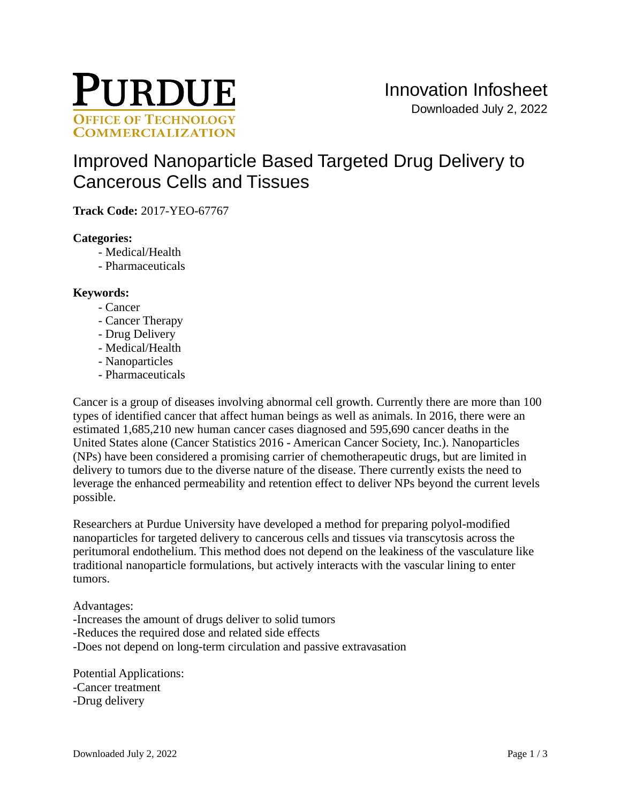

# [Improved Nanoparticle Based Targeted Drug Delivery to](https://inventions.prf.org/innovation/6320)  [Cancerous Cells and Tissues](https://inventions.prf.org/innovation/6320)

**Track Code:** 2017-YEO-67767

# **Categories:**

- Medical/Health
- Pharmaceuticals

## **Keywords:**

- Cancer
- Cancer Therapy
- Drug Delivery
- Medical/Health
- Nanoparticles
- Pharmaceuticals

Cancer is a group of diseases involving abnormal cell growth. Currently there are more than 100 types of identified cancer that affect human beings as well as animals. In 2016, there were an estimated 1,685,210 new human cancer cases diagnosed and 595,690 cancer deaths in the United States alone (Cancer Statistics 2016 - American Cancer Society, Inc.). Nanoparticles (NPs) have been considered a promising carrier of chemotherapeutic drugs, but are limited in delivery to tumors due to the diverse nature of the disease. There currently exists the need to leverage the enhanced permeability and retention effect to deliver NPs beyond the current levels possible.

Researchers at Purdue University have developed a method for preparing polyol-modified nanoparticles for targeted delivery to cancerous cells and tissues via transcytosis across the peritumoral endothelium. This method does not depend on the leakiness of the vasculature like traditional nanoparticle formulations, but actively interacts with the vascular lining to enter tumors.

#### Advantages:

- -Increases the amount of drugs deliver to solid tumors
- -Reduces the required dose and related side effects
- -Does not depend on long-term circulation and passive extravasation

Potential Applications: -Cancer treatment -Drug delivery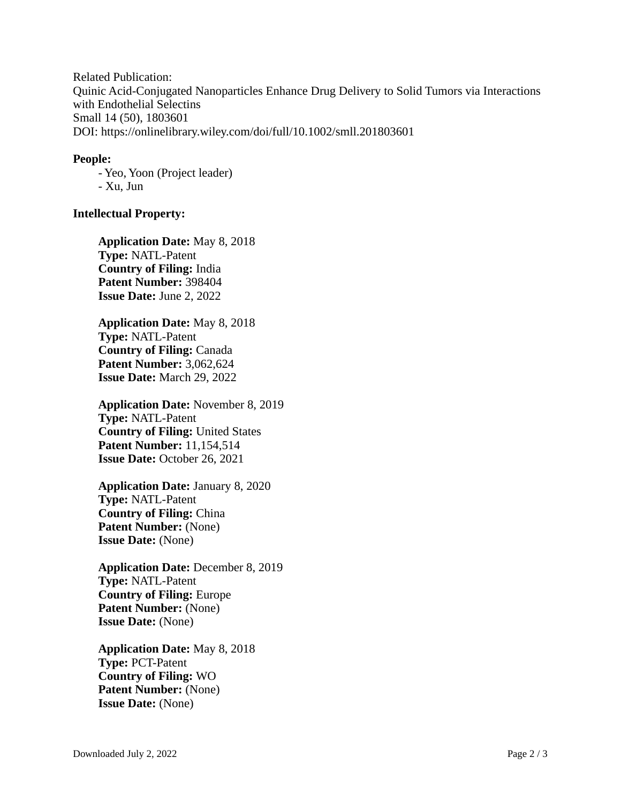Related Publication: Quinic Acid-Conjugated Nanoparticles Enhance Drug Delivery to Solid Tumors via Interactions with Endothelial Selectins Small 14 (50), 1803601 DOI: <https://onlinelibrary.wiley.com/doi/full/10.1002/smll.201803601>

## **People:**

- Yeo, Yoon (Project leader) - Xu, Jun

# **Intellectual Property:**

**Application Date:** May 8, 2018 **Type:** NATL-Patent **Country of Filing:** India **Patent Number:** 398404 **Issue Date:** June 2, 2022

**Application Date:** May 8, 2018 **Type:** NATL-Patent **Country of Filing:** Canada **Patent Number:** 3,062,624 **Issue Date:** March 29, 2022

**Application Date:** November 8, 2019 **Type:** NATL-Patent **Country of Filing:** United States **Patent Number:** 11,154,514 **Issue Date: October 26, 2021** 

**Application Date:** January 8, 2020 **Type:** NATL-Patent **Country of Filing:** China Patent Number: (None) **Issue Date:** (None)

**Application Date:** December 8, 2019 **Type:** NATL-Patent **Country of Filing:** Europe **Patent Number:** (None) **Issue Date:** (None)

**Application Date:** May 8, 2018 **Type:** PCT-Patent **Country of Filing:** WO **Patent Number:** (None) **Issue Date:** (None)